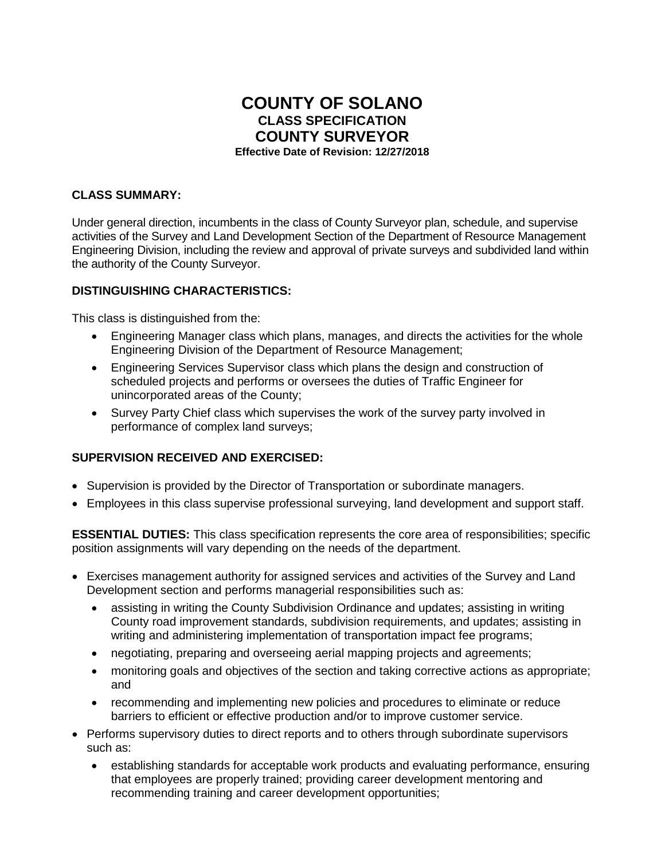# **COUNTY OF SOLANO CLASS SPECIFICATION COUNTY SURVEYOR Effective Date of Revision: 12/27/2018**

#### **CLASS SUMMARY:**

Under general direction, incumbents in the class of County Surveyor plan, schedule, and supervise activities of the Survey and Land Development Section of the Department of Resource Management Engineering Division, including the review and approval of private surveys and subdivided land within the authority of the County Surveyor.

#### **DISTINGUISHING CHARACTERISTICS:**

This class is distinguished from the:

- Engineering Manager class which plans, manages, and directs the activities for the whole Engineering Division of the Department of Resource Management;
- Engineering Services Supervisor class which plans the design and construction of scheduled projects and performs or oversees the duties of Traffic Engineer for unincorporated areas of the County;
- Survey Party Chief class which supervises the work of the survey party involved in performance of complex land surveys;

## **SUPERVISION RECEIVED AND EXERCISED:**

- Supervision is provided by the Director of Transportation or subordinate managers.
- Employees in this class supervise professional surveying, land development and support staff.

**ESSENTIAL DUTIES:** This class specification represents the core area of responsibilities; specific position assignments will vary depending on the needs of the department.

- Exercises management authority for assigned services and activities of the Survey and Land Development section and performs managerial responsibilities such as:
	- assisting in writing the County Subdivision Ordinance and updates; assisting in writing County road improvement standards, subdivision requirements, and updates; assisting in writing and administering implementation of transportation impact fee programs;
	- negotiating, preparing and overseeing aerial mapping projects and agreements;
	- monitoring goals and objectives of the section and taking corrective actions as appropriate; and
	- recommending and implementing new policies and procedures to eliminate or reduce barriers to efficient or effective production and/or to improve customer service.
- Performs supervisory duties to direct reports and to others through subordinate supervisors such as:
	- establishing standards for acceptable work products and evaluating performance, ensuring that employees are properly trained; providing career development mentoring and recommending training and career development opportunities;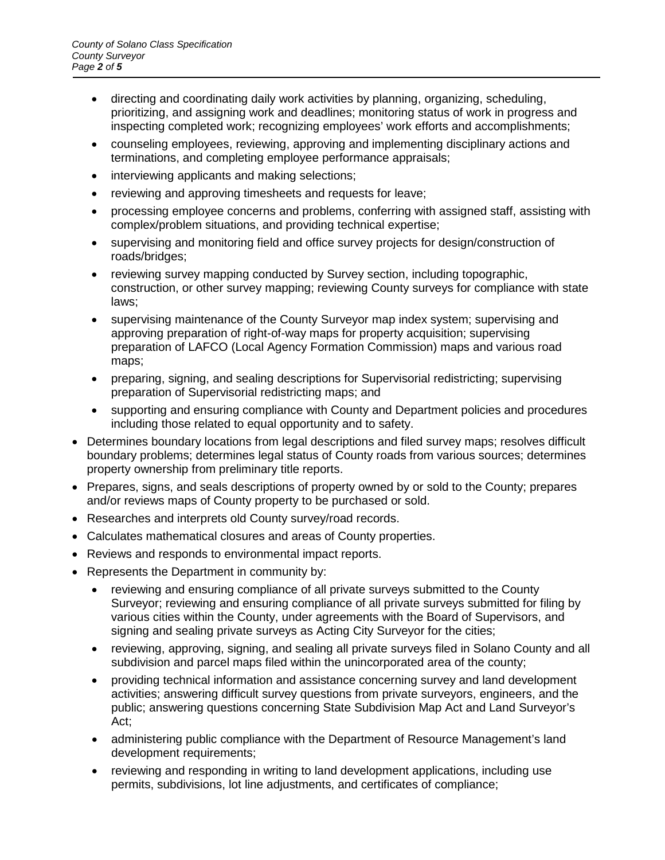- directing and coordinating daily work activities by planning, organizing, scheduling, prioritizing, and assigning work and deadlines; monitoring status of work in progress and inspecting completed work; recognizing employees' work efforts and accomplishments;
- counseling employees, reviewing, approving and implementing disciplinary actions and terminations, and completing employee performance appraisals;
- interviewing applicants and making selections;
- reviewing and approving timesheets and requests for leave;
- processing employee concerns and problems, conferring with assigned staff, assisting with complex/problem situations, and providing technical expertise;
- supervising and monitoring field and office survey projects for design/construction of roads/bridges;
- reviewing survey mapping conducted by Survey section, including topographic, construction, or other survey mapping; reviewing County surveys for compliance with state laws;
- supervising maintenance of the County Surveyor map index system; supervising and approving preparation of right-of-way maps for property acquisition; supervising preparation of LAFCO (Local Agency Formation Commission) maps and various road maps;
- preparing, signing, and sealing descriptions for Supervisorial redistricting; supervising preparation of Supervisorial redistricting maps; and
- supporting and ensuring compliance with County and Department policies and procedures including those related to equal opportunity and to safety.
- Determines boundary locations from legal descriptions and filed survey maps; resolves difficult boundary problems; determines legal status of County roads from various sources; determines property ownership from preliminary title reports.
- Prepares, signs, and seals descriptions of property owned by or sold to the County; prepares and/or reviews maps of County property to be purchased or sold.
- Researches and interprets old County survey/road records.
- Calculates mathematical closures and areas of County properties.
- Reviews and responds to environmental impact reports.
- Represents the Department in community by:
	- reviewing and ensuring compliance of all private surveys submitted to the County Surveyor; reviewing and ensuring compliance of all private surveys submitted for filing by various cities within the County, under agreements with the Board of Supervisors, and signing and sealing private surveys as Acting City Surveyor for the cities;
	- reviewing, approving, signing, and sealing all private surveys filed in Solano County and all subdivision and parcel maps filed within the unincorporated area of the county;
	- providing technical information and assistance concerning survey and land development activities; answering difficult survey questions from private surveyors, engineers, and the public; answering questions concerning State Subdivision Map Act and Land Surveyor's Act;
	- administering public compliance with the Department of Resource Management's land development requirements;
	- reviewing and responding in writing to land development applications, including use permits, subdivisions, lot line adjustments, and certificates of compliance;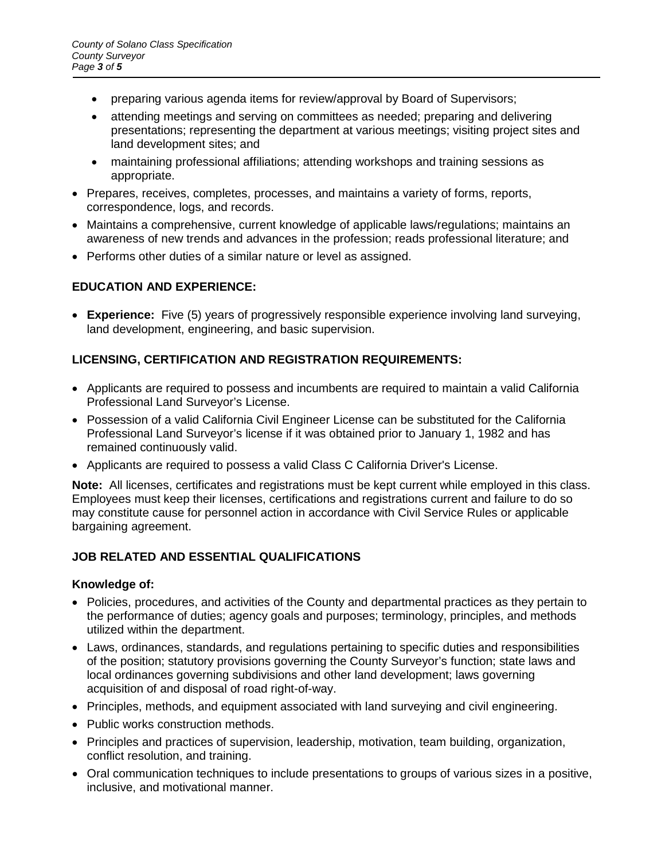- preparing various agenda items for review/approval by Board of Supervisors;
- attending meetings and serving on committees as needed; preparing and delivering presentations; representing the department at various meetings; visiting project sites and land development sites; and
- maintaining professional affiliations; attending workshops and training sessions as appropriate.
- Prepares, receives, completes, processes, and maintains a variety of forms, reports, correspondence, logs, and records.
- Maintains a comprehensive, current knowledge of applicable laws/regulations; maintains an awareness of new trends and advances in the profession; reads professional literature; and
- Performs other duties of a similar nature or level as assigned.

# **EDUCATION AND EXPERIENCE:**

• **Experience:** Five (5) years of progressively responsible experience involving land surveying, land development, engineering, and basic supervision.

# **LICENSING, CERTIFICATION AND REGISTRATION REQUIREMENTS:**

- Applicants are required to possess and incumbents are required to maintain a valid California Professional Land Surveyor's License.
- Possession of a valid California Civil Engineer License can be substituted for the California Professional Land Surveyor's license if it was obtained prior to January 1, 1982 and has remained continuously valid.
- Applicants are required to possess a valid Class C California Driver's License.

**Note:** All licenses, certificates and registrations must be kept current while employed in this class. Employees must keep their licenses, certifications and registrations current and failure to do so may constitute cause for personnel action in accordance with Civil Service Rules or applicable bargaining agreement.

## **JOB RELATED AND ESSENTIAL QUALIFICATIONS**

## **Knowledge of:**

- Policies, procedures, and activities of the County and departmental practices as they pertain to the performance of duties; agency goals and purposes; terminology, principles, and methods utilized within the department.
- Laws, ordinances, standards, and regulations pertaining to specific duties and responsibilities of the position; statutory provisions governing the County Surveyor's function; state laws and local ordinances governing subdivisions and other land development; laws governing acquisition of and disposal of road right-of-way.
- Principles, methods, and equipment associated with land surveying and civil engineering.
- Public works construction methods.
- Principles and practices of supervision, leadership, motivation, team building, organization, conflict resolution, and training.
- Oral communication techniques to include presentations to groups of various sizes in a positive, inclusive, and motivational manner.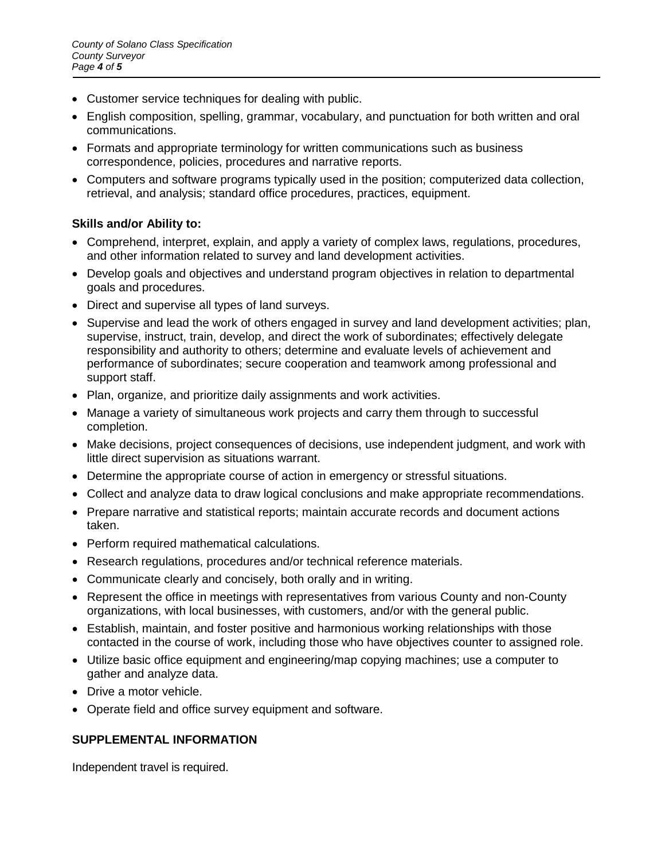- Customer service techniques for dealing with public.
- English composition, spelling, grammar, vocabulary, and punctuation for both written and oral communications.
- Formats and appropriate terminology for written communications such as business correspondence, policies, procedures and narrative reports.
- Computers and software programs typically used in the position; computerized data collection, retrieval, and analysis; standard office procedures, practices, equipment.

## **Skills and/or Ability to:**

- Comprehend, interpret, explain, and apply a variety of complex laws, regulations, procedures, and other information related to survey and land development activities.
- Develop goals and objectives and understand program objectives in relation to departmental goals and procedures.
- Direct and supervise all types of land surveys.
- Supervise and lead the work of others engaged in survey and land development activities; plan, supervise, instruct, train, develop, and direct the work of subordinates; effectively delegate responsibility and authority to others; determine and evaluate levels of achievement and performance of subordinates; secure cooperation and teamwork among professional and support staff.
- Plan, organize, and prioritize daily assignments and work activities.
- Manage a variety of simultaneous work projects and carry them through to successful completion.
- Make decisions, project consequences of decisions, use independent judgment, and work with little direct supervision as situations warrant.
- Determine the appropriate course of action in emergency or stressful situations.
- Collect and analyze data to draw logical conclusions and make appropriate recommendations.
- Prepare narrative and statistical reports; maintain accurate records and document actions taken.
- Perform required mathematical calculations.
- Research regulations, procedures and/or technical reference materials.
- Communicate clearly and concisely, both orally and in writing.
- Represent the office in meetings with representatives from various County and non-County organizations, with local businesses, with customers, and/or with the general public.
- Establish, maintain, and foster positive and harmonious working relationships with those contacted in the course of work, including those who have objectives counter to assigned role.
- Utilize basic office equipment and engineering/map copying machines; use a computer to gather and analyze data.
- Drive a motor vehicle.
- Operate field and office survey equipment and software.

## **SUPPLEMENTAL INFORMATION**

Independent travel is required.